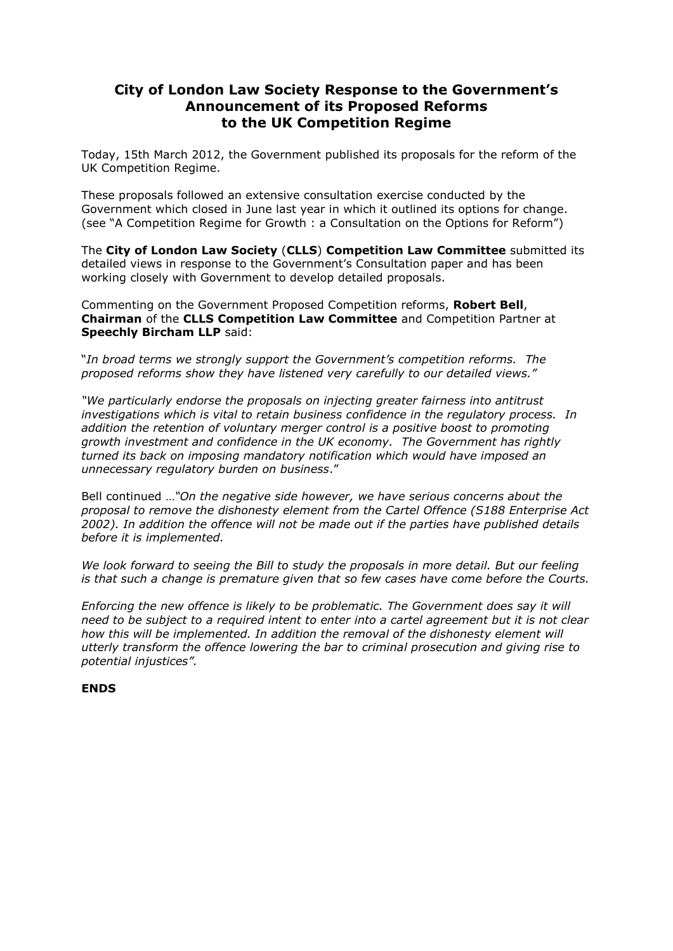## **City of London Law Society Response to the Government's Announcement of its Proposed Reforms to the UK Competition Regime**

Today, 15th March 2012, the Government published its proposals for the reform of the UK Competition Regime.

These proposals followed an extensive consultation exercise conducted by the Government which closed in June last year in which it outlined its options for change. (see "A Competition Regime for Growth : a Consultation on the Options for Reform")

The **City of London Law Society** (**CLLS**) **Competition Law Committee** submitted its detailed views in response to the Government's Consultation paper and has been working closely with Government to develop detailed proposals.

Commenting on the Government Proposed Competition reforms, **Robert Bell**, **Chairman** of the **CLLS Competition Law Committee** and Competition Partner at **Speechly Bircham LLP** said:

"*In broad terms we strongly support the Government's competition reforms. The proposed reforms show they have listened very carefully to our detailed views."*

*"We particularly endorse the proposals on injecting greater fairness into antitrust investigations which is vital to retain business confidence in the regulatory process. In addition the retention of voluntary merger control is a positive boost to promoting growth investment and confidence in the UK economy. The Government has rightly turned its back on imposing mandatory notification which would have imposed an unnecessary regulatory burden on business*."

Bell continued …*"On the negative side however, we have serious concerns about the proposal to remove the dishonesty element from the Cartel Offence (S188 Enterprise Act 2002). In addition the offence will not be made out if the parties have published details before it is implemented.* 

*We look forward to seeing the Bill to study the proposals in more detail. But our feeling is that such a change is premature given that so few cases have come before the Courts.*

*Enforcing the new offence is likely to be problematic. The Government does say it will need to be subject to a required intent to enter into a cartel agreement but it is not clear how this will be implemented. In addition the removal of the dishonesty element will utterly transform the offence lowering the bar to criminal prosecution and giving rise to potential injustices".*

#### **ENDS**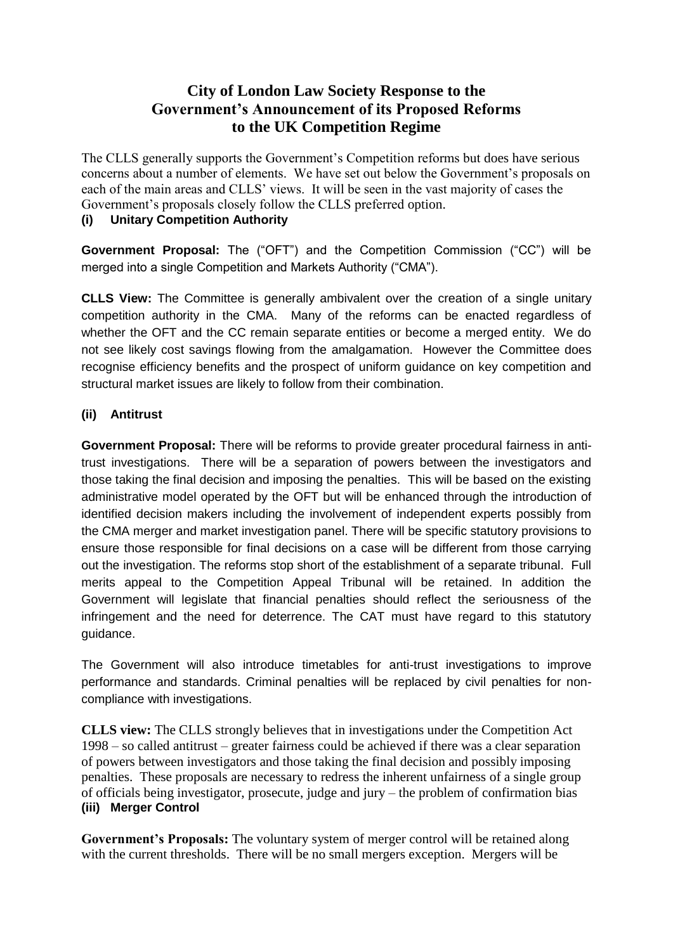# **City of London Law Society Response to the Government's Announcement of its Proposed Reforms to the UK Competition Regime**

The CLLS generally supports the Government's Competition reforms but does have serious concerns about a number of elements. We have set out below the Government's proposals on each of the main areas and CLLS' views. It will be seen in the vast majority of cases the Government's proposals closely follow the CLLS preferred option.

# **(i) Unitary Competition Authority**

**Government Proposal:** The ("OFT") and the Competition Commission ("CC") will be merged into a single Competition and Markets Authority ("CMA").

**CLLS View:** The Committee is generally ambivalent over the creation of a single unitary competition authority in the CMA. Many of the reforms can be enacted regardless of whether the OFT and the CC remain separate entities or become a merged entity. We do not see likely cost savings flowing from the amalgamation. However the Committee does recognise efficiency benefits and the prospect of uniform guidance on key competition and structural market issues are likely to follow from their combination.

## **(ii) Antitrust**

**Government Proposal:** There will be reforms to provide greater procedural fairness in antitrust investigations. There will be a separation of powers between the investigators and those taking the final decision and imposing the penalties. This will be based on the existing administrative model operated by the OFT but will be enhanced through the introduction of identified decision makers including the involvement of independent experts possibly from the CMA merger and market investigation panel. There will be specific statutory provisions to ensure those responsible for final decisions on a case will be different from those carrying out the investigation. The reforms stop short of the establishment of a separate tribunal. Full merits appeal to the Competition Appeal Tribunal will be retained. In addition the Government will legislate that financial penalties should reflect the seriousness of the infringement and the need for deterrence. The CAT must have regard to this statutory guidance.

The Government will also introduce timetables for anti-trust investigations to improve performance and standards. Criminal penalties will be replaced by civil penalties for noncompliance with investigations.

**CLLS view:** The CLLS strongly believes that in investigations under the Competition Act 1998 – so called antitrust – greater fairness could be achieved if there was a clear separation of powers between investigators and those taking the final decision and possibly imposing penalties. These proposals are necessary to redress the inherent unfairness of a single group of officials being investigator, prosecute, judge and jury – the problem of confirmation bias **(iii) Merger Control**

Government's Proposals: The voluntary system of merger control will be retained along with the current thresholds. There will be no small mergers exception. Mergers will be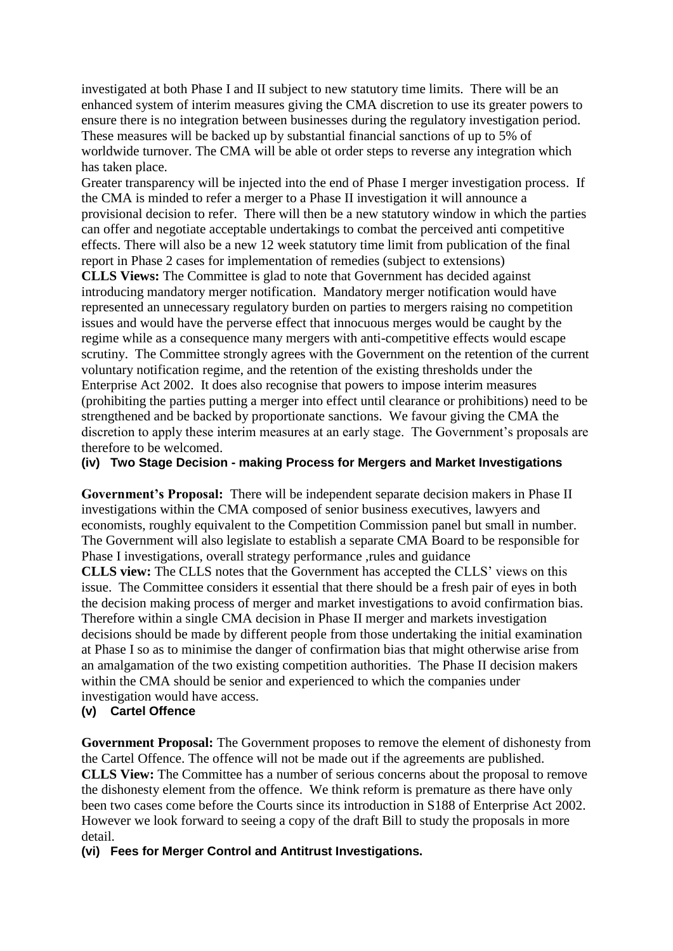investigated at both Phase I and II subject to new statutory time limits. There will be an enhanced system of interim measures giving the CMA discretion to use its greater powers to ensure there is no integration between businesses during the regulatory investigation period. These measures will be backed up by substantial financial sanctions of up to 5% of worldwide turnover. The CMA will be able ot order steps to reverse any integration which has taken place.

Greater transparency will be injected into the end of Phase I merger investigation process. If the CMA is minded to refer a merger to a Phase II investigation it will announce a provisional decision to refer. There will then be a new statutory window in which the parties can offer and negotiate acceptable undertakings to combat the perceived anti competitive effects. There will also be a new 12 week statutory time limit from publication of the final report in Phase 2 cases for implementation of remedies (subject to extensions)

**CLLS Views:** The Committee is glad to note that Government has decided against introducing mandatory merger notification. Mandatory merger notification would have represented an unnecessary regulatory burden on parties to mergers raising no competition issues and would have the perverse effect that innocuous merges would be caught by the regime while as a consequence many mergers with anti-competitive effects would escape scrutiny. The Committee strongly agrees with the Government on the retention of the current voluntary notification regime, and the retention of the existing thresholds under the Enterprise Act 2002. It does also recognise that powers to impose interim measures (prohibiting the parties putting a merger into effect until clearance or prohibitions) need to be strengthened and be backed by proportionate sanctions. We favour giving the CMA the discretion to apply these interim measures at an early stage. The Government's proposals are therefore to be welcomed.

#### **(iv) Two Stage Decision - making Process for Mergers and Market Investigations**

**Government's Proposal:** There will be independent separate decision makers in Phase II investigations within the CMA composed of senior business executives, lawyers and economists, roughly equivalent to the Competition Commission panel but small in number. The Government will also legislate to establish a separate CMA Board to be responsible for Phase I investigations, overall strategy performance ,rules and guidance

**CLLS view:** The CLLS notes that the Government has accepted the CLLS' views on this issue. The Committee considers it essential that there should be a fresh pair of eyes in both the decision making process of merger and market investigations to avoid confirmation bias. Therefore within a single CMA decision in Phase II merger and markets investigation decisions should be made by different people from those undertaking the initial examination at Phase I so as to minimise the danger of confirmation bias that might otherwise arise from an amalgamation of the two existing competition authorities. The Phase II decision makers within the CMA should be senior and experienced to which the companies under investigation would have access.

#### **(v) Cartel Offence**

**Government Proposal:** The Government proposes to remove the element of dishonesty from the Cartel Offence. The offence will not be made out if the agreements are published. **CLLS View:** The Committee has a number of serious concerns about the proposal to remove the dishonesty element from the offence. We think reform is premature as there have only been two cases come before the Courts since its introduction in S188 of Enterprise Act 2002. However we look forward to seeing a copy of the draft Bill to study the proposals in more detail.

**(vi) Fees for Merger Control and Antitrust Investigations.**